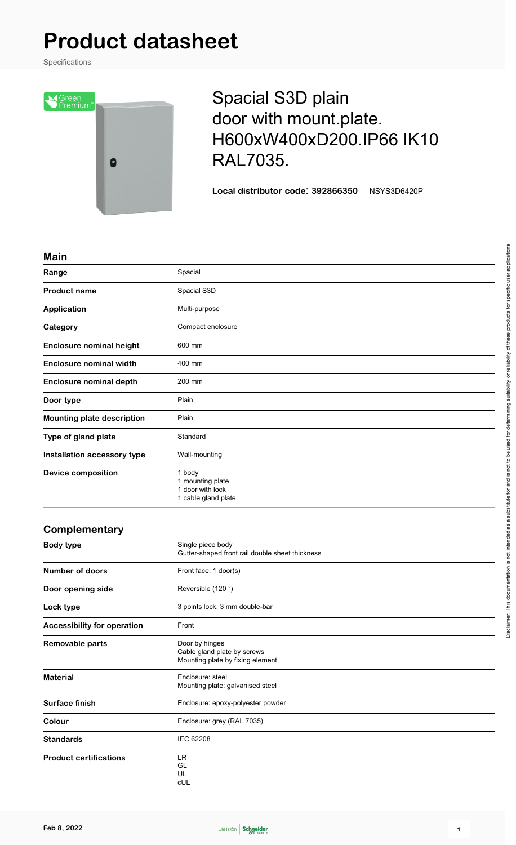# **Product datasheet**

Specifications



## Spacial S3D plain door with mount.plate. H600xW400xD200.IP66 IK10 RAL7035.

**Local distributor code**: **392866350** NSYS3D6420P

#### **Main**

| ,,,,,,,                           |                                                                       |
|-----------------------------------|-----------------------------------------------------------------------|
| Range                             | Spacial                                                               |
| <b>Product name</b>               | Spacial S3D                                                           |
| <b>Application</b>                | Multi-purpose                                                         |
| Category                          | Compact enclosure                                                     |
| <b>Enclosure nominal height</b>   | 600 mm                                                                |
| <b>Enclosure nominal width</b>    | 400 mm                                                                |
| <b>Enclosure nominal depth</b>    | 200 mm                                                                |
| Door type                         | Plain                                                                 |
| <b>Mounting plate description</b> | Plain                                                                 |
| Type of gland plate               | Standard                                                              |
| Installation accessory type       | Wall-mounting                                                         |
| <b>Device composition</b>         | 1 body<br>1 mounting plate<br>1 door with lock<br>1 cable gland plate |

### **Complementary Body type** Single piece body Gutter-shaped front rail double sheet thickness **Number of doors** Front face: 1 door(s) **Door opening side** Reversible (120 °) Lock type **3** points lock, 3 mm double-bar **Accessibility for operation** Front **Removable parts** Door by hinges Cable gland plate by screws Mounting plate by fixing element **Material** Enclosure: steel Mounting plate: galvanised steel Surface finish **Enclosure: epoxy-polyester powder Colour** Enclosure: grey (RAL 7035) Standards **IEC 62208 Product certifications** LR



GL UL cUL